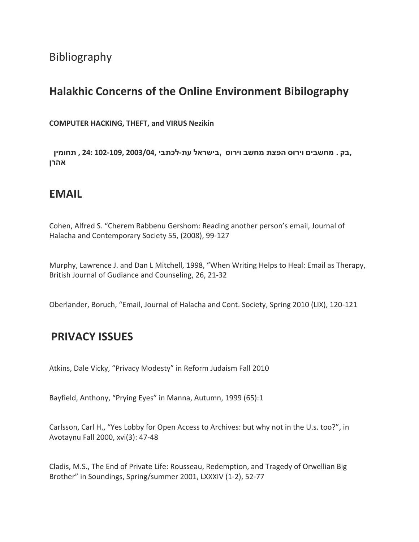# Bibliography

# **Halakhic Concerns of the Online Environment Bibilography**

**COMPUTER HACKING, THEFT, and VIRUS Nezikin**

 **,בק . מחשבים וירוס הפצת מחשב וירוס ,בישראל עת-לכתבי 2003/04, 102-109, 24: , תחומין אהרן**

### **EMAIL**

Cohen, Alfred S. "Cherem Rabbenu Gershom: Reading another person's email, Journal of Halacha and Contemporary Society 55, (2008), 99-127

Murphy, Lawrence J. and Dan L Mitchell, 1998, "When Writing Helps to Heal: Email as Therapy, British Journal of Gudiance and Counseling, 26, 21-32

Oberlander, Boruch, "Email, Journal of Halacha and Cont. Society, Spring 2010 (LIX), 120-121

# **PRIVACY ISSUES**

Atkins, Dale Vicky, "Privacy Modesty" in Reform Judaism Fall 2010

Bayfield, Anthony, "Prying Eyes" in Manna, Autumn, 1999 (65):1

Carlsson, Carl H., "Yes Lobby for Open Access to Archives: but why not in the U.s. too?", in Avotaynu Fall 2000, xvi(3): 47-48

Cladis, M.S., The End of Private Life: Rousseau, Redemption, and Tragedy of Orwellian Big Brother" in Soundings, Spring/summer 2001, LXXXIV (1-2), 52-77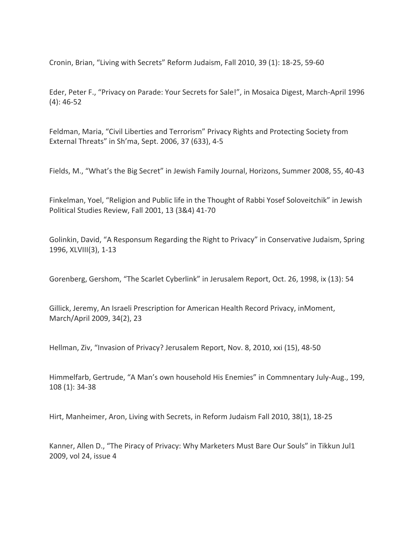Cronin, Brian, "Living with Secrets" Reform Judaism, Fall 2010, 39 (1): 18-25, 59-60

Eder, Peter F., "Privacy on Parade: Your Secrets for Sale!", in Mosaica Digest, March-April 1996 (4): 46-52

Feldman, Maria, "Civil Liberties and Terrorism" Privacy Rights and Protecting Society from External Threats" in Sh'ma, Sept. 2006, 37 (633), 4-5

Fields, M., "What's the Big Secret" in Jewish Family Journal, Horizons, Summer 2008, 55, 40-43

Finkelman, Yoel, "Religion and Public life in the Thought of Rabbi Yosef Soloveitchik" in Jewish Political Studies Review, Fall 2001, 13 (3&4) 41-70

Golinkin, David, "A Responsum Regarding the Right to Privacy" in Conservative Judaism, Spring 1996, XLVIII(3), 1-13

Gorenberg, Gershom, "The Scarlet Cyberlink" in Jerusalem Report, Oct. 26, 1998, ix (13): 54

Gillick, Jeremy, An Israeli Prescription for American Health Record Privacy, inMoment, March/April 2009, 34(2), 23

Hellman, Ziv, "Invasion of Privacy? Jerusalem Report, Nov. 8, 2010, xxi (15), 48-50

Himmelfarb, Gertrude, "A Man's own household His Enemies" in Commnentary July-Aug., 199, 108 (1): 34-38

Hirt, Manheimer, Aron, Living with Secrets, in Reform Judaism Fall 2010, 38(1), 18-25

Kanner, Allen D., "The Piracy of Privacy: Why Marketers Must Bare Our Souls" in Tikkun Jul1 2009, vol 24, issue 4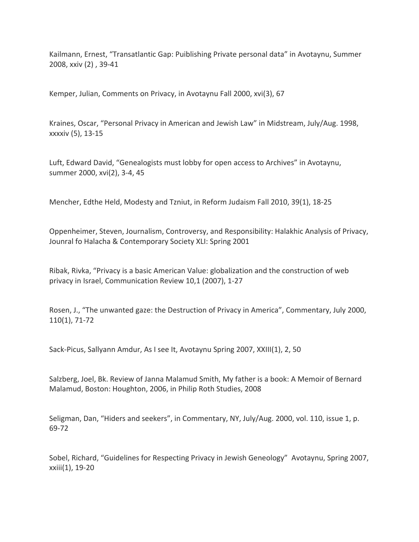Kailmann, Ernest, "Transatlantic Gap: Puiblishing Private personal data" in Avotaynu, Summer 2008, xxiv (2) , 39-41

Kemper, Julian, Comments on Privacy, in Avotaynu Fall 2000, xvi(3), 67

Kraines, Oscar, "Personal Privacy in American and Jewish Law" in Midstream, July/Aug. 1998, xxxxiv (5), 13-15

Luft, Edward David, "Genealogists must lobby for open access to Archives" in Avotaynu, summer 2000, xvi(2), 3-4, 45

Mencher, Edthe Held, Modesty and Tzniut, in Reform Judaism Fall 2010, 39(1), 18-25

Oppenheimer, Steven, Journalism, Controversy, and Responsibility: Halakhic Analysis of Privacy, Jounral fo Halacha & Contemporary Society XLI: Spring 2001

Ribak, Rivka, "Privacy is a basic American Value: globalization and the construction of web privacy in Israel, Communication Review 10,1 (2007), 1-27

Rosen, J., "The unwanted gaze: the Destruction of Privacy in America", Commentary, July 2000, 110(1), 71-72

Sack-Picus, Sallyann Amdur, As I see It, Avotaynu Spring 2007, XXIII(1), 2, 50

Salzberg, Joel, Bk. Review of Janna Malamud Smith, My father is a book: A Memoir of Bernard Malamud, Boston: Houghton, 2006, in Philip Roth Studies, 2008

Seligman, Dan, "Hiders and seekers", in Commentary, NY, July/Aug. 2000, vol. 110, issue 1, p. 69-72

Sobel, Richard, "Guidelines for Respecting Privacy in Jewish Geneology" Avotaynu, Spring 2007, xxiii(1), 19-20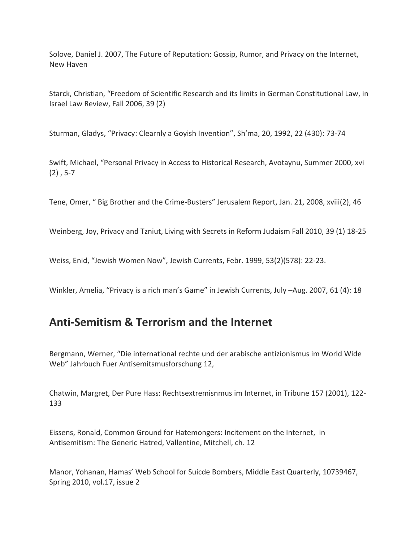Solove, Daniel J. 2007, The Future of Reputation: Gossip, Rumor, and Privacy on the Internet, New Haven

Starck, Christian, "Freedom of Scientific Research and its limits in German Constitutional Law, in Israel Law Review, Fall 2006, 39 (2)

Sturman, Gladys, "Privacy: Clearnly a Goyish Invention", Sh'ma, 20, 1992, 22 (430): 73-74

Swift, Michael, "Personal Privacy in Access to Historical Research, Avotaynu, Summer 2000, xvi  $(2)$ , 5-7

Tene, Omer, " Big Brother and the Crime-Busters" Jerusalem Report, Jan. 21, 2008, xviii(2), 46

Weinberg, Joy, Privacy and Tzniut, Living with Secrets in Reform Judaism Fall 2010, 39 (1) 18-25

Weiss, Enid, "Jewish Women Now", Jewish Currents, Febr. 1999, 53(2)(578): 22-23.

Winkler, Amelia, "Privacy is a rich man's Game" in Jewish Currents, July –Aug. 2007, 61 (4): 18

### **Anti-Semitism & Terrorism and the Internet**

Bergmann, Werner, "Die international rechte und der arabische antizionismus im World Wide Web" Jahrbuch Fuer Antisemitsmusforschung 12,

Chatwin, Margret, Der Pure Hass: Rechtsextremisnmus im Internet, in Tribune 157 (2001), 122- 133

Eissens, Ronald, Common Ground for Hatemongers: Incitement on the Internet, in Antisemitism: The Generic Hatred, Vallentine, Mitchell, ch. 12

Manor, Yohanan, Hamas' Web School for Suicde Bombers, Middle East Quarterly, 10739467, Spring 2010, vol.17, issue 2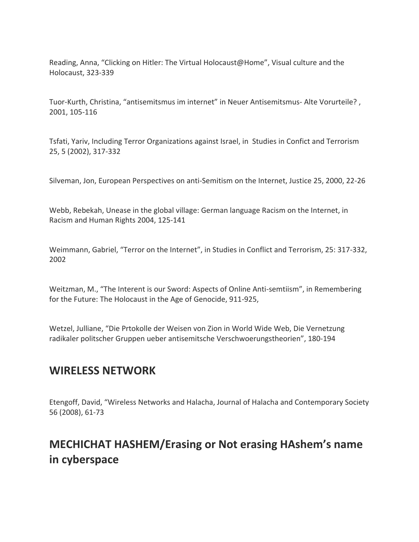Reading, Anna, "Clicking on Hitler: The Virtual Holocaust@Home", Visual culture and the Holocaust, 323-339

Tuor-Kurth, Christina, "antisemitsmus im internet" in Neuer Antisemitsmus- Alte Vorurteile? , 2001, 105-116

Tsfati, Yariv, Including Terror Organizations against Israel, in Studies in Confict and Terrorism 25, 5 (2002), 317-332

Silveman, Jon, European Perspectives on anti-Semitism on the Internet, Justice 25, 2000, 22-26

Webb, Rebekah, Unease in the global village: German language Racism on the Internet, in Racism and Human Rights 2004, 125-141

Weimmann, Gabriel, "Terror on the Internet", in Studies in Conflict and Terrorism, 25: 317-332, 2002

Weitzman, M., "The Interent is our Sword: Aspects of Online Anti-semtiism", in Remembering for the Future: The Holocaust in the Age of Genocide, 911-925,

Wetzel, Julliane, "Die Prtokolle der Weisen von Zion in World Wide Web, Die Vernetzung radikaler politscher Gruppen ueber antisemitsche Verschwoerungstheorien", 180-194

# **WIRELESS NETWORK**

Etengoff, David, "Wireless Networks and Halacha, Journal of Halacha and Contemporary Society 56 (2008), 61-73

# **MECHICHAT HASHEM/Erasing or Not erasing HAshem's name in cyberspace**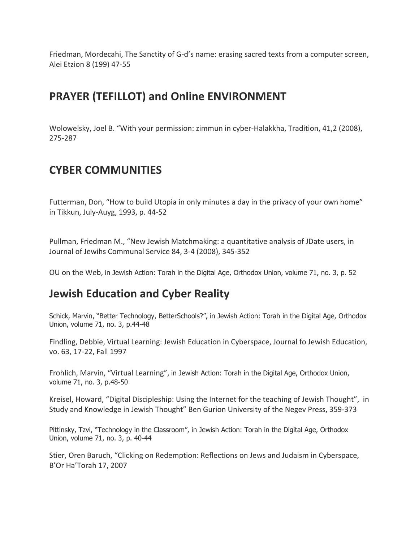Friedman, Mordecahi, The Sanctity of G-d's name: erasing sacred texts from a computer screen, Alei Etzion 8 (199) 47-55

# **PRAYER (TEFILLOT) and Online ENVIRONMENT**

Wolowelsky, Joel B. "With your permission: zimmun in cyber-Halakkha, Tradition, 41,2 (2008), 275-287

# **CYBER COMMUNITIES**

Futterman, Don, "How to build Utopia in only minutes a day in the privacy of your own home" in Tikkun, July-Auyg, 1993, p. 44-52

Pullman, Friedman M., "New Jewish Matchmaking: a quantitative analysis of JDate users, in Journal of Jewihs Communal Service 84, 3-4 (2008), 345-352

OU on the Web, in Jewish Action: Torah in the Digital Age, Orthodox Union, volume 71, no. 3, p. 52

# **Jewish Education and Cyber Reality**

Schick, Marvin, "Better Technology, BetterSchools?", in Jewish Action: Torah in the Digital Age, Orthodox Union, volume 71, no. 3, p.44-48

Findling, Debbie, Virtual Learning: Jewish Education in Cyberspace, Journal fo Jewish Education, vo. 63, 17-22, Fall 1997

Frohlich, Marvin, "Virtual Learning", in Jewish Action: Torah in the Digital Age, Orthodox Union, volume 71, no. 3, p.48-50

Kreisel, Howard, "Digital Discipleship: Using the Internet for the teaching of Jewish Thought", in Study and Knowledge in Jewish Thought" Ben Gurion University of the Negev Press, 359-373

Pittinsky, Tzvi, "Technology in the Classroom", in Jewish Action: Torah in the Digital Age, Orthodox Union, volume 71, no. 3, p. 40-44

Stier, Oren Baruch, "Clicking on Redemption: Reflections on Jews and Judaism in Cyberspace, B'Or Ha'Torah 17, 2007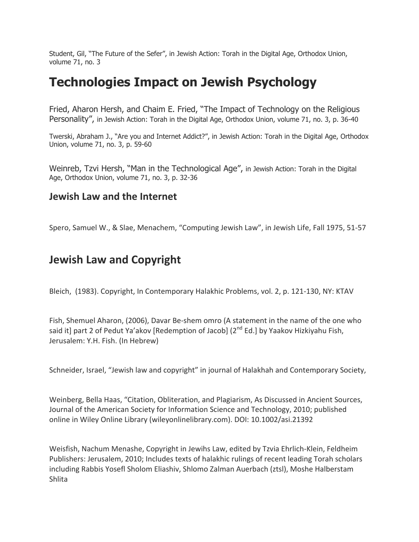Student, Gil, "The Future of the Sefer", in Jewish Action: Torah in the Digital Age, Orthodox Union, volume 71, no. 3

# **Technologies Impact on Jewish Psychology**

Fried, Aharon Hersh, and Chaim E. Fried, "The Impact of Technology on the Religious Personality", in Jewish Action: Torah in the Digital Age, Orthodox Union, volume 71, no. 3, p. 36-40

Twerski, Abraham J., "Are you and Internet Addict?", in Jewish Action: Torah in the Digital Age, Orthodox Union, volume 71, no. 3, p. 59-60

Weinreb, Tzvi Hersh, "Man in the Technological Age", in Jewish Action: Torah in the Digital Age, Orthodox Union, volume 71, no. 3, p. 32-36

#### **Jewish Law and the Internet**

Spero, Samuel W., & Slae, Menachem, "Computing Jewish Law", in Jewish Life, Fall 1975, 51-57

# **Jewish Law and Copyright**

Bleich, (1983). Copyright, In Contemporary Halakhic Problems, vol. 2, p. 121-130, NY: KTAV

Fish, Shemuel Aharon, (2006), Davar Be-shem omro (A statement in the name of the one who said it] part 2 of Pedut Ya'akov [Redemption of Jacob] (2<sup>nd</sup> Ed.] by Yaakov Hizkiyahu Fish, Jerusalem: Y.H. Fish. (In Hebrew)

Schneider, Israel, "Jewish law and copyright" in journal of Halakhah and Contemporary Society,

Weinberg, Bella Haas, "Citation, Obliteration, and Plagiarism, As Discussed in Ancient Sources, Journal of the American Society for Information Science and Technology, 2010; published online in Wiley Online Library (wileyonlinelibrary.com). DOI: 10.1002/asi.21392

Weisfish, Nachum Menashe, Copyright in Jewihs Law, edited by Tzvia Ehrlich-Klein, Feldheim Publishers: Jerusalem, 2010; Includes texts of halakhic rulings of recent leading Torah scholars including Rabbis Yosefl Sholom Eliashiv, Shlomo Zalman Auerbach (ztsl), Moshe Halberstam Shlita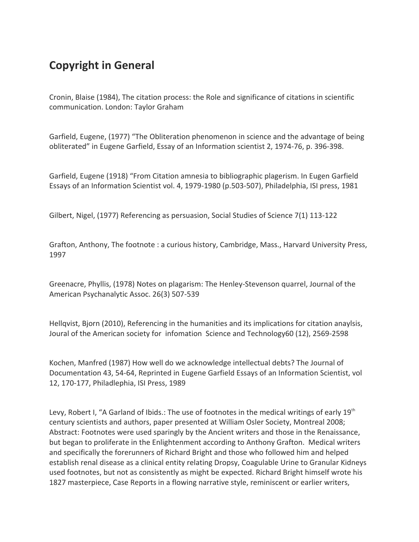# **Copyright in General**

Cronin, Blaise (1984), The citation process: the Role and significance of citations in scientific communication. London: Taylor Graham

Garfield, Eugene, (1977) "The Obliteration phenomenon in science and the advantage of being obliterated" in Eugene Garfield, Essay of an Information scientist 2, 1974-76, p. 396-398.

Garfield, Eugene (1918) "From Citation amnesia to bibliographic plagerism. In Eugen Garfield Essays of an Information Scientist vol. 4, 1979-1980 (p.503-507), Philadelphia, ISI press, 1981

Gilbert, Nigel, (1977) Referencing as persuasion, Social Studies of Science 7(1) 113-122

Grafton, Anthony, The footnote : a curious history, Cambridge, Mass., Harvard University Press, 1997

Greenacre, Phyllis, (1978) Notes on plagarism: The Henley-Stevenson quarrel, Journal of the American Psychanalytic Assoc. 26(3) 507-539

Hellqvist, Bjorn (2010), Referencing in the humanities and its implications for citation anaylsis, Joural of the American society for infomation Science and Technology60 (12), 2569-2598

Kochen, Manfred (1987) How well do we acknowledge intellectual debts? The Journal of Documentation 43, 54-64, Reprinted in Eugene Garfield Essays of an Information Scientist, vol 12, 170-177, Philadlephia, ISI Press, 1989

Levy, Robert I, "A Garland of Ibids.: The use of footnotes in the medical writings of early  $19<sup>th</sup>$ century scientists and authors, paper presented at William Osler Society, Montreal 2008; Abstract: Footnotes were used sparingly by the Ancient writers and those in the Renaissance, but began to proliferate in the Enlightenment according to Anthony Grafton. Medical writers and specifically the forerunners of Richard Bright and those who followed him and helped establish renal disease as a clinical entity relating Dropsy, Coagulable Urine to Granular Kidneys used footnotes, but not as consistently as might be expected. Richard Bright himself wrote his 1827 masterpiece, Case Reports in a flowing narrative style, reminiscent or earlier writers,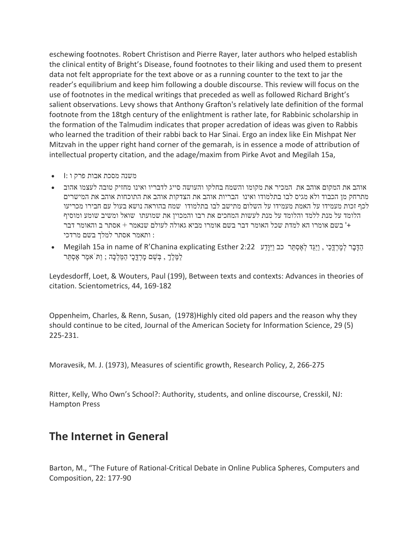eschewing footnotes. Robert Christison and Pierre Rayer, later authors who helped establish the clinical entity of Bright's Disease, found footnotes to their liking and used them to present data not felt appropriate for the text above or as a running counter to the text to jar the reader's equilibrium and keep him following a double discourse. This review will focus on the use of footnotes in the medical writings that preceded as well as followed Richard Bright's salient observations. Levy shows that Anthony Grafton's relatively late definition of the formal footnote from the 18tgh century of the enlightment is rather late, for Rabbinic scholarship in the formation of the Talmudim indicates that proper acredation of ideas was given to Rabbis who learned the tradition of their rabbi back to Har Sinai. Ergo an index like Ein Mishpat Ner Mitzvah in the upper right hand corner of the gemarah, is in essence a mode of attribution of intellectual property citation, and the adage/maxim from Pirke Avot and Megilah 15a,

- משנה מסכת אבות פרק ו :I
- אוהב את המקום אוהב את המכיר את מקומו והשמח בחלקו והעושה סייג לדבריו ואינו מחזיק טובה לעצמו אהוב מתרחק מן הכבוד ולא מגיס לבו בתלמודו ואינו הבריות אוהב את הצדקות אוהב את התוכחות אוהב את המישרים לכף זכות מעמידו על האמת מעמידו על השלום מתישב לבו בתלמודו שמח בהוראה נושא בעול עם חבירו מכריעו הלומד על מנת ללמד והלומד על מנת לעשות המחכים את רבו והמכוין את שמועתו שואל ומשיב שומע ומוסיף +' בשם אומרו הא למדת שכל האומר דבר בשם אומרו מביא גאולה לעולם שנאמר + אסתר ב והאומר דבר : ותאמר אסתר למלך בשם מרדכי
- הַדָּבָר לְמַרְדֶּכַי, וַיַּגֵּד לְאֶסְתֵּר כב וַיְּוַּדַע 2:22 Esther 2:22 Esther וּחַבְּבַר לְמַרְדֶּכַי, נִ לַמֶלֶךְ , בְשֵּ ם מָּרְדֳּכָּי הַמַלְכָּה ; וַתֹּאמֶר אֶסְתֵּר

Leydesdorff, Loet, & Wouters, Paul (199), Between texts and contexts: Advances in theories of citation. Scientometrics, 44, 169-182

Oppenheim, Charles, & Renn, Susan, (1978)Highly cited old papers and the reason why they should continue to be cited, Journal of the American Society for Information Science, 29 (5) 225-231.

Moravesik, M. J. (1973), Measures of scientific growth, Research Policy, 2, 266-275

Ritter, Kelly, Who Own's School?: Authority, students, and online discourse, Cresskil, NJ: Hampton Press

### **The Internet in General**

Barton, M., "The Future of Rational-Critical Debate in Online Publica Spheres, Computers and Composition, 22: 177-90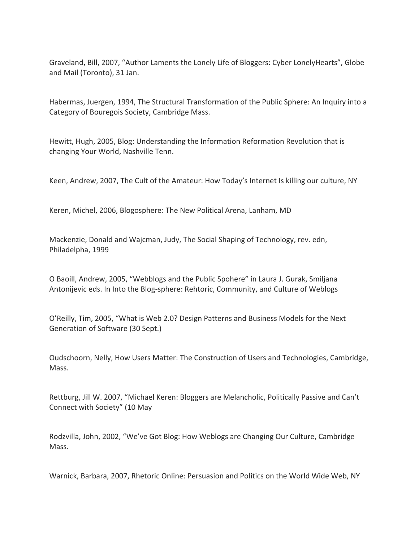Graveland, Bill, 2007, "Author Laments the Lonely Life of Bloggers: Cyber LonelyHearts", Globe and Mail (Toronto), 31 Jan.

Habermas, Juergen, 1994, The Structural Transformation of the Public Sphere: An Inquiry into a Category of Bouregois Society, Cambridge Mass.

Hewitt, Hugh, 2005, Blog: Understanding the Information Reformation Revolution that is changing Your World, Nashville Tenn.

Keen, Andrew, 2007, The Cult of the Amateur: How Today's Internet Is killing our culture, NY

Keren, Michel, 2006, Blogosphere: The New Political Arena, Lanham, MD

Mackenzie, Donald and Wajcman, Judy, The Social Shaping of Technology, rev. edn, Philadelpha, 1999

O Baoill, Andrew, 2005, "Webblogs and the Public Spohere" in Laura J. Gurak, Smiljana Antonijevic eds. In Into the Blog-sphere: Rehtoric, Community, and Culture of Weblogs

O'Reilly, Tim, 2005, "What is Web 2.0? Design Patterns and Business Models for the Next Generation of Software (30 Sept.)

Oudschoorn, Nelly, How Users Matter: The Construction of Users and Technologies, Cambridge, Mass.

Rettburg, Jill W. 2007, "Michael Keren: Bloggers are Melancholic, Politically Passive and Can't Connect with Society" (10 May

Rodzvilla, John, 2002, "We've Got Blog: How Weblogs are Changing Our Culture, Cambridge Mass.

Warnick, Barbara, 2007, Rhetoric Online: Persuasion and Politics on the World Wide Web, NY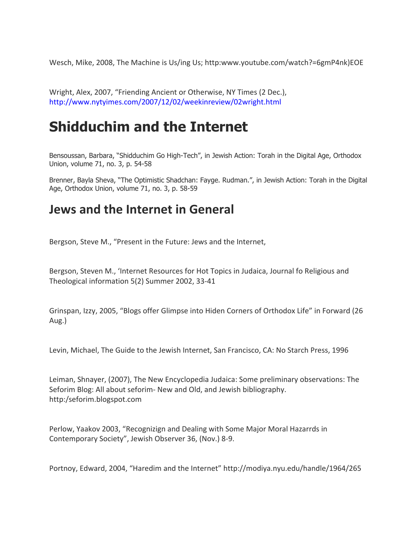Wesch, Mike, 2008, The Machine is Us/ing Us; http:www.youtube.com/watch?=6gmP4nk)EOE

Wright, Alex, 2007, "Friending Ancient or Otherwise, NY Times (2 Dec.), <http://www.nytyimes.com/2007/12/02/weekinreview/02wright.html>

# **Shidduchim and the Internet**

Bensoussan, Barbara, "Shidduchim Go High-Tech", in Jewish Action: Torah in the Digital Age, Orthodox Union, volume 71, no. 3, p. 54-58

Brenner, Bayla Sheva, "The Optimistic Shadchan: Fayge. Rudman.", in Jewish Action: Torah in the Digital Age, Orthodox Union, volume 71, no. 3, p. 58-59

# **Jews and the Internet in General**

Bergson, Steve M., "Present in the Future: Jews and the Internet,

Bergson, Steven M., 'Internet Resources for Hot Topics in Judaica, Journal fo Religious and Theological information 5(2) Summer 2002, 33-41

Grinspan, Izzy, 2005, "Blogs offer Glimpse into Hiden Corners of Orthodox Life" in Forward (26 Aug.)

Levin, Michael, The Guide to the Jewish Internet, San Francisco, CA: No Starch Press, 1996

Leiman, Shnayer, (2007), The New Encyclopedia Judaica: Some preliminary observations: The Seforim Blog: All about seforim- New and Old, and Jewish bibliography. http:/seforim.blogspot.com

Perlow, Yaakov 2003, "Recognizign and Dealing with Some Major Moral Hazarrds in Contemporary Society", Jewish Observer 36, (Nov.) 8-9.

Portnoy, Edward, 2004, "Haredim and the Internet" http://modiya.nyu.edu/handle/1964/265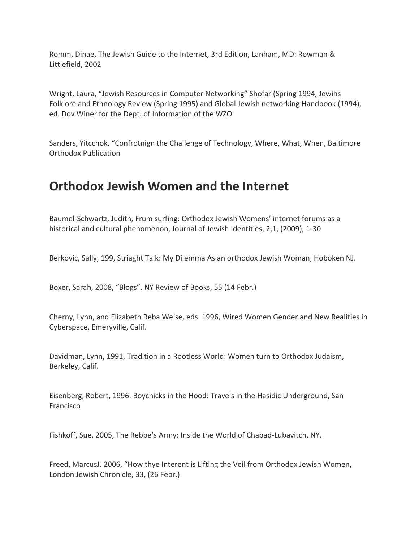Romm, Dinae, The Jewish Guide to the Internet, 3rd Edition, Lanham, MD: Rowman & Littlefield, 2002

Wright, Laura, "Jewish Resources in Computer Networking" Shofar (Spring 1994, Jewihs Folklore and Ethnology Review (Spring 1995) and Global Jewish networking Handbook (1994), ed. Dov Winer for the Dept. of Information of the WZO

Sanders, Yitcchok, "Confrotnign the Challenge of Technology, Where, What, When, Baltimore Orthodox Publication

# **Orthodox Jewish Women and the Internet**

Baumel-Schwartz, Judith, Frum surfing: Orthodox Jewish Womens' internet forums as a historical and cultural phenomenon, Journal of Jewish Identities, 2,1, (2009), 1-30

Berkovic, Sally, 199, Striaght Talk: My Dilemma As an orthodox Jewish Woman, Hoboken NJ.

Boxer, Sarah, 2008, "Blogs". NY Review of Books, 55 (14 Febr.)

Cherny, Lynn, and Elizabeth Reba Weise, eds. 1996, Wired Women Gender and New Realities in Cyberspace, Emeryville, Calif.

Davidman, Lynn, 1991, Tradition in a Rootless World: Women turn to Orthodox Judaism, Berkeley, Calif.

Eisenberg, Robert, 1996. Boychicks in the Hood: Travels in the Hasidic Underground, San Francisco

Fishkoff, Sue, 2005, The Rebbe's Army: Inside the World of Chabad-Lubavitch, NY.

Freed, MarcusJ. 2006, "How thye Interent is Lifting the Veil from Orthodox Jewish Women, London Jewish Chronicle, 33, (26 Febr.)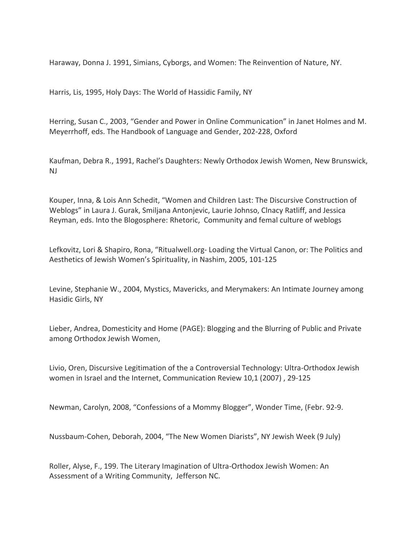Haraway, Donna J. 1991, Simians, Cyborgs, and Women: The Reinvention of Nature, NY.

Harris, Lis, 1995, Holy Days: The World of Hassidic Family, NY

Herring, Susan C., 2003, "Gender and Power in Online Communication" in Janet Holmes and M. Meyerrhoff, eds. The Handbook of Language and Gender, 202-228, Oxford

Kaufman, Debra R., 1991, Rachel's Daughters: Newly Orthodox Jewish Women, New Brunswick, NJ

Kouper, Inna, & Lois Ann Schedit, "Women and Children Last: The Discursive Construction of Weblogs" in Laura J. Gurak, Smiljana Antonjevic, Laurie Johnso, Clnacy Ratliff, and Jessica Reyman, eds. Into the Blogosphere: Rhetoric, Community and femal culture of weblogs

Lefkovitz, Lori & Shapiro, Rona, "Ritualwell.org- Loading the Virtual Canon, or: The Politics and Aesthetics of Jewish Women's Spirituality, in Nashim, 2005, 101-125

Levine, Stephanie W., 2004, Mystics, Mavericks, and Merymakers: An Intimate Journey among Hasidic Girls, NY

Lieber, Andrea, Domesticity and Home (PAGE): Blogging and the Blurring of Public and Private among Orthodox Jewish Women,

Livio, Oren, Discursive Legitimation of the a Controversial Technology: Ultra-Orthodox Jewish women in Israel and the Internet, Communication Review 10,1 (2007) , 29-125

Newman, Carolyn, 2008, "Confessions of a Mommy Blogger", Wonder Time, (Febr. 92-9.

Nussbaum-Cohen, Deborah, 2004, "The New Women Diarists", NY Jewish Week (9 July)

Roller, Alyse, F., 199. The Literary Imagination of Ultra-Orthodox Jewish Women: An Assessment of a Writing Community, Jefferson NC.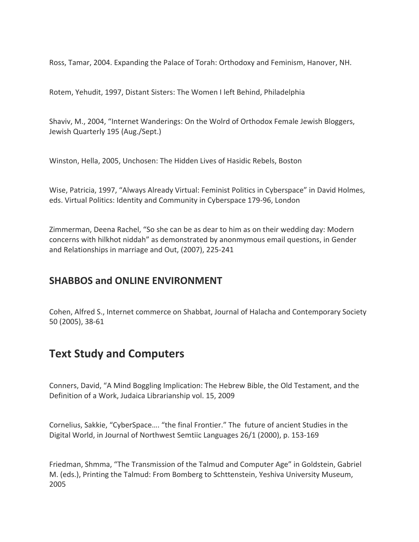Ross, Tamar, 2004. Expanding the Palace of Torah: Orthodoxy and Feminism, Hanover, NH.

Rotem, Yehudit, 1997, Distant Sisters: The Women I left Behind, Philadelphia

Shaviv, M., 2004, "Internet Wanderings: On the Wolrd of Orthodox Female Jewish Bloggers, Jewish Quarterly 195 (Aug./Sept.)

Winston, Hella, 2005, Unchosen: The Hidden Lives of Hasidic Rebels, Boston

Wise, Patricia, 1997, "Always Already Virtual: Feminist Politics in Cyberspace" in David Holmes, eds. Virtual Politics: Identity and Community in Cyberspace 179-96, London

Zimmerman, Deena Rachel, "So she can be as dear to him as on their wedding day: Modern concerns with hilkhot niddah" as demonstrated by anonmymous email questions, in Gender and Relationships in marriage and Out, (2007), 225-241

#### **SHABBOS and ONLINE ENVIRONMENT**

Cohen, Alfred S., Internet commerce on Shabbat, Journal of Halacha and Contemporary Society 50 (2005), 38-61

# **Text Study and Computers**

Conners, David, "A Mind Boggling Implication: The Hebrew Bible, the Old Testament, and the Definition of a Work, Judaica Librarianship vol. 15, 2009

Cornelius, Sakkie, "CyberSpace…. "the final Frontier." The future of ancient Studies in the Digital World, in Journal of Northwest Semtiic Languages 26/1 (2000), p. 153-169

Friedman, Shmma, "The Transmission of the Talmud and Computer Age" in Goldstein, Gabriel M. (eds.), Printing the Talmud: From Bomberg to Schttenstein, Yeshiva University Museum, 2005